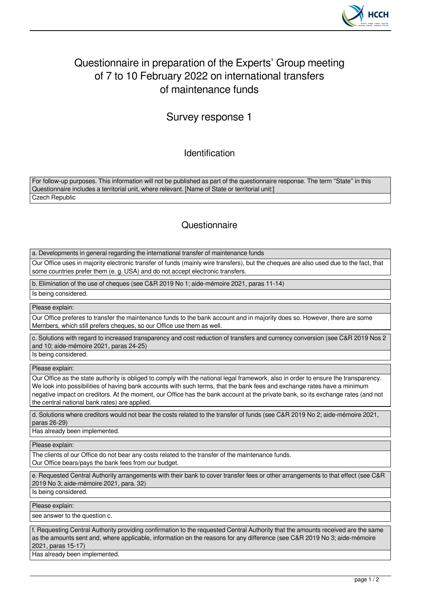

# Questionnaire in preparation of the Experts' Group meeting of 7 to 10 February 2022 on international transfers of maintenance funds

## Survey response 1

Identification

For follow-up purposes. This information will not be published as part of the questionnaire response. The term "State" in this Questionnaire includes a territorial unit, where relevant. [Name of State or territorial unit:] Czech Republic

### **Questionnaire**

a. Developments in general regarding the international transfer of maintenance funds

Our Office uses in majority electronic transfer of funds (mainly wire transfers), but the cheques are also used due to the fact, that some countries prefer them (e. g. USA) and do not accept electronic transfers.

b. Elimination of the use of cheques (see C&R 2019 No 1; aide-mémoire 2021, paras 11-14)

Is being considered.

Please explain:

Our Office preferes to transfer the maintenance funds to the bank account and in majority does so. However, there are some Members, which still prefers cheques, so our Office use them as well.

c. Solutions with regard to increased transparency and cost reduction of transfers and currency conversion (see C&R 2019 Nos 2 and 10; aide-mémoire 2021, paras 24-25)

Is being considered.

Please explain:

Our Office as the state authority is obliged to comply with the national legal framework, also in order to ensure the transparency. We look into possibilities of having bank accounts with such terms, that the bank fees and exchange rates have a minimum negative impact on creditors. At the moment, our Office has the bank account at the private bank, so its exchange rates (and not the central national bank rates) are applied.

d. Solutions where creditors would not bear the costs related to the transfer of funds (see C&R 2019 No 2; aide-mémoire 2021, paras 26-29)

Has already been implemented.

Please explain:

The clients of our Office do not bear any costs related to the transfer of the maintenance funds. Our Office bears/pays the bank fees from our budget.

e. Requested Central Authority arrangements with their bank to cover transfer fees or other arrangements to that effect (see C&R 2019 No 3; aide-mémoire 2021, para. 32)

Is being considered.

Please explain:

see answer to the question c.

f. Requesting Central Authority providing confirmation to the requested Central Authority that the amounts received are the same as the amounts sent and, where applicable, information on the reasons for any difference (see C&R 2019 No 3; aide-mémoire 2021, paras 15-17)

Has already been implemented.